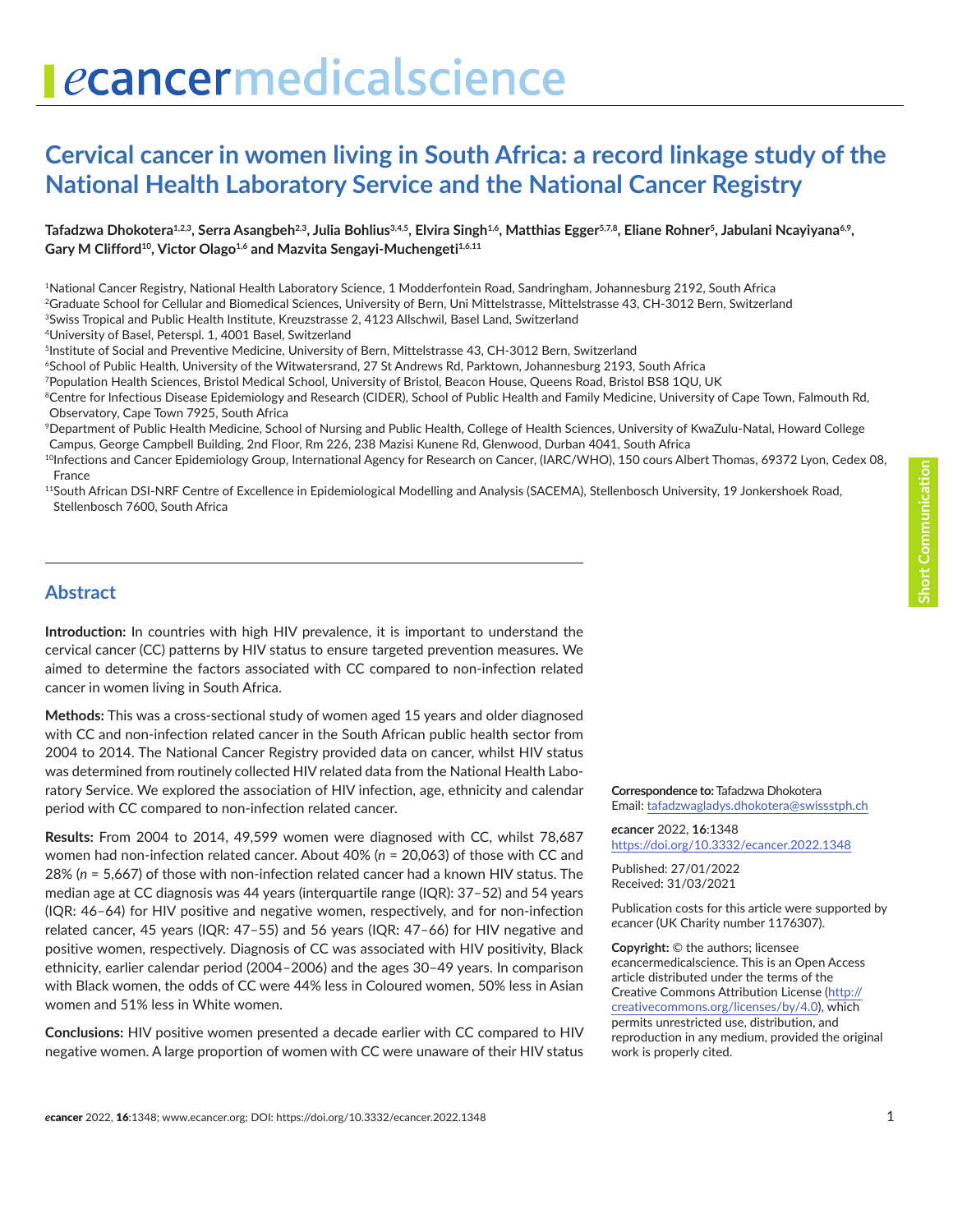# ecancermedicalscience

# **Cervical cancer in women living in South Africa: a record linkage study of the National Health Laboratory Service and the National Cancer Registry**

Tafadzwa Dhokotera<sup>1,2,3</sup>, Serra Asangbeh<sup>2,3</sup>, Julia Bohlius<sup>3,4,5</sup>, Elvira Singh<sup>1,6</sup>, Matthias Egger<sup>5,7,8</sup>, Eliane Rohner<sup>5</sup>, Jabulani Ncayiyana<sup>6,9</sup>, Gary M Clifford<sup>10</sup>, Victor Olago<sup>1,6</sup> and Mazvita Sengayi-Muchengeti<sup>1,6,11</sup>

1National Cancer Registry, National Health Laboratory Science, 1 Modderfontein Road, Sandringham, Johannesburg 2192, South Africa 2Graduate School for Cellular and Biomedical Sciences, University of Bern, Uni Mittelstrasse, Mittelstrasse 43, CH-3012 Bern, Switzerland

3Swiss Tropical and Public Health Institute, Kreuzstrasse 2, 4123 Allschwil, Basel Land, Switzerland

4University of Basel, Peterspl. 1, 4001 Basel, Switzerland

<sup>5</sup>Institute of Social and Preventive Medicine, University of Bern, Mittelstrasse 43, CH-3012 Bern, Switzerland

6School of Public Health, University of the Witwatersrand, 27 St Andrews Rd, Parktown, Johannesburg 2193, South Africa

7Population Health Sciences, Bristol Medical School, University of Bristol, Beacon House, Queens Road, Bristol BS8 1QU, UK

<sup>8</sup>Centre for Infectious Disease Epidemiology and Research (CIDER), School of Public Health and Family Medicine, University of Cape Town, Falmouth Rd, Observatory, Cape Town 7925, South Africa

9Department of Public Health Medicine, School of Nursing and Public Health, College of Health Sciences, University of KwaZulu-Natal, Howard College Campus, George Campbell Building, 2nd Floor, Rm 226, 238 Mazisi Kunene Rd, Glenwood, Durban 4041, South Africa

<sup>10</sup>Infections and Cancer Epidemiology Group, International Agency for Research on Cancer, (IARC/WHO), 150 cours Albert Thomas, 69372 Lyon, Cedex 08, France

11South African DSI-NRF Centre of Excellence in Epidemiological Modelling and Analysis (SACEMA), Stellenbosch University, 19 Jonkershoek Road, Stellenbosch 7600, South Africa

#### **Abstract**

**Introduction:** In countries with high HIV prevalence, it is important to understand the cervical cancer (CC) patterns by HIV status to ensure targeted prevention measures. We aimed to determine the factors associated with CC compared to non-infection related cancer in women living in South Africa.

**Methods:** This was a cross-sectional study of women aged 15 years and older diagnosed with CC and non-infection related cancer in the South African public health sector from 2004 to 2014. The National Cancer Registry provided data on cancer, whilst HIV status was determined from routinely collected HIV related data from the National Health Laboratory Service. We explored the association of HIV infection, age, ethnicity and calendar period with CC compared to non-infection related cancer.

**Results:** From 2004 to 2014, 49,599 women were diagnosed with CC, whilst 78,687 women had non-infection related cancer. About 40% (*n* = 20,063) of those with CC and 28% (*n* = 5,667) of those with non-infection related cancer had a known HIV status. The median age at CC diagnosis was 44 years (interquartile range (IQR): 37–52) and 54 years (IQR: 46–64) for HIV positive and negative women, respectively, and for non-infection related cancer, 45 years (IQR: 47–55) and 56 years (IQR: 47–66) for HIV negative and positive women, respectively. Diagnosis of CC was associated with HIV positivity, Black ethnicity, earlier calendar period (2004–2006) and the ages 30–49 years. In comparison with Black women, the odds of CC were 44% less in Coloured women, 50% less in Asian women and 51% less in White women.

**Conclusions:** HIV positive women presented a decade earlier with CC compared to HIV negative women. A large proportion of women with CC were unaware of their HIV status **Correspondence to:** Tafadzwa Dhokotera Email: [tafadzwagladys.dhokotera@swissstph.ch](mailto:tafadzwagladys.dhokotera@swissstph.ch)

*e***cancer** 2022, **16**:1348 <https://doi.org/10.3332/ecancer.2022.1348>

Published: 27/01/2022 Received: 31/03/2021

Publication costs for this article were supported by *e*cancer (UK Charity number 1176307).

**Copyright:** © the authors; licensee *e*cancermedicalscience. This is an Open Access article distributed under the terms of the Creative Commons Attribution License (http:// creativecommons.org/licenses/by/4.0), which permits unrestricted use, distribution, and reproduction in any medium, provided the original work is properly cited.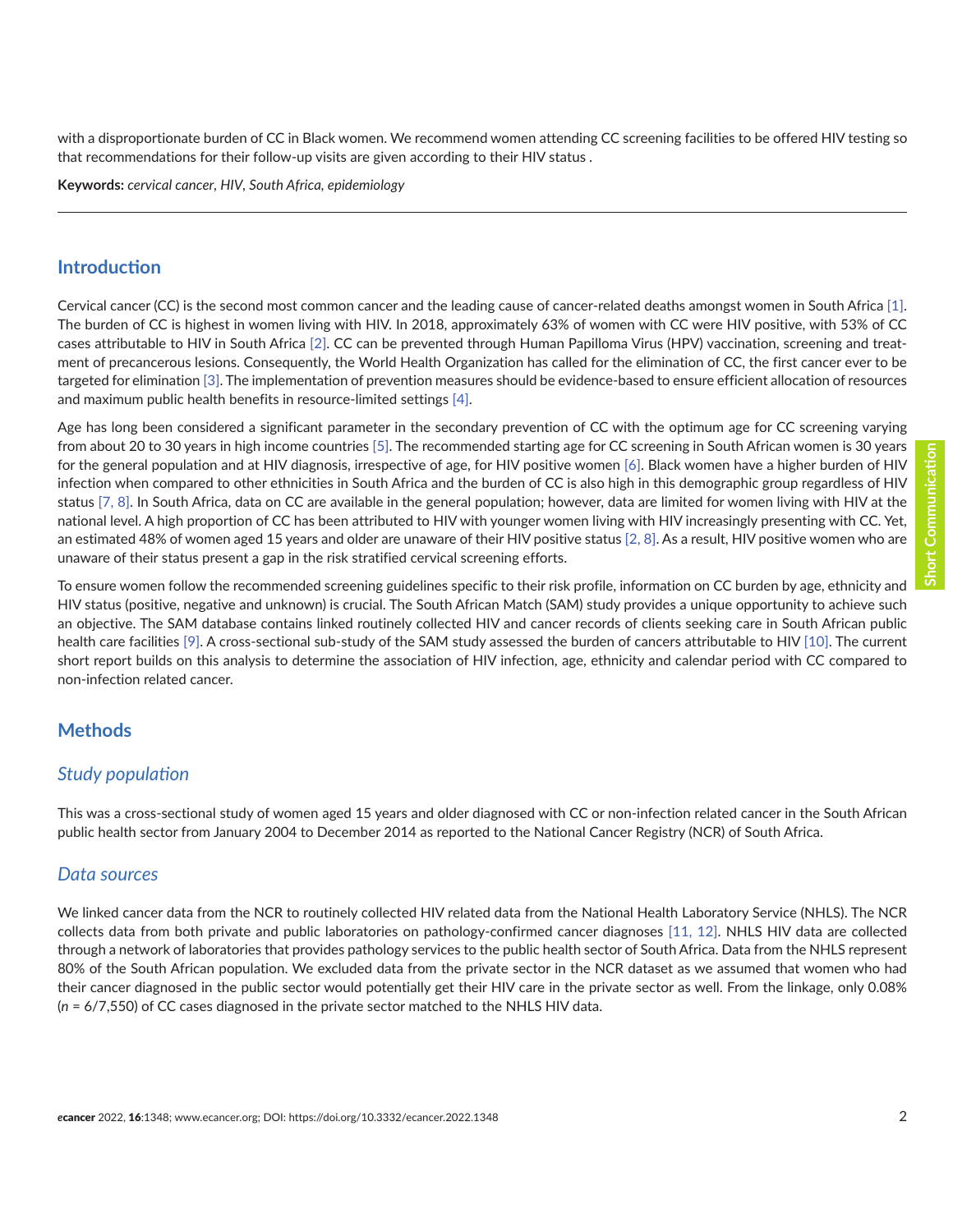with a disproportionate burden of CC in Black women. We recommend women attending CC screening facilities to be offered HIV testing so that recommendations for their follow-up visits are given according to their HIV status .

**Keywords:** *cervical cancer, HIV, South Africa, epidemiology*

#### **Introduction**

Cervical cancer (CC) is the second most common cancer and the leading cause of cancer-related deaths amongst women in South Africa [\[1\].](#page-8-0) The burden of CC is highest in women living with HIV. In 2018, approximately 63% of women with CC were HIV positive, with 53% of CC cases attributable to HIV in South Africa [\[2\].](#page-8-0) CC can be prevented through Human Papilloma Virus (HPV) vaccination, screening and treatment of precancerous lesions. Consequently, the World Health Organization has called for the elimination of CC, the first cancer ever to be targeted for elimination [\[3\]](#page-8-0). The implementation of prevention measures should be evidence-based to ensure efficient allocation of resources and maximum public health benefits in resource-limited settings [\[4\]](#page-8-0).

Age has long been considered a significant parameter in the secondary prevention of CC with the optimum age for CC screening varying from about 20 to 30 years in high income countries [\[5\]](#page-8-0). The recommended starting age for CC screening in South African women is 30 years for the general population and at HIV diagnosis, irrespective of age, for HIV positive women [\[6\].](#page-8-0) Black women have a higher burden of HIV infection when compared to other ethnicities in South Africa and the burden of CC is also high in this demographic group regardless of HIV status [\[7,](#page-9-0) [8\].](#page-9-0) In South Africa, data on CC are available in the general population; however, data are limited for women living with HIV at the national level. A high proportion of CC has been attributed to HIV with younger women living with HIV increasingly presenting with CC. Yet, an estimated 48% of women aged 15 years and older are unaware of their HIV positive status [\[2,](#page-8-0) [8\].](#page-9-0) As a result, HIV positive women who are unaware of their status present a gap in the risk stratified cervical screening efforts.

To ensure women follow the recommended screening guidelines specific to their risk profile, information on CC burden by age, ethnicity and HIV status (positive, negative and unknown) is crucial. The South African Match (SAM) study provides a unique opportunity to achieve such an objective. The SAM database contains linked routinely collected HIV and cancer records of clients seeking care in South African public health care facilities [\[9\].](#page-9-0) A cross-sectional sub-study of the SAM study assessed the burden of cancers attributable to HIV [\[10\].](#page-9-0) The current short report builds on this analysis to determine the association of HIV infection, age, ethnicity and calendar period with CC compared to non-infection related cancer.

#### **Methods**

#### *Study population*

This was a cross-sectional study of women aged 15 years and older diagnosed with CC or non-infection related cancer in the South African public health sector from January 2004 to December 2014 as reported to the National Cancer Registry (NCR) of South Africa.

#### *Data sources*

We linked cancer data from the NCR to routinely collected HIV related data from the National Health Laboratory Service (NHLS). The NCR collects data from both private and public laboratories on pathology-confirmed cancer diagnoses [\[11, 12\]](#page-9-0). NHLS HIV data are collected through a network of laboratories that provides pathology services to the public health sector of South Africa. Data from the NHLS represent 80% of the South African population. We excluded data from the private sector in the NCR dataset as we assumed that women who had their cancer diagnosed in the public sector would potentially get their HIV care in the private sector as well. From the linkage, only 0.08% (*n* = 6/7,550) of CC cases diagnosed in the private sector matched to the NHLS HIV data.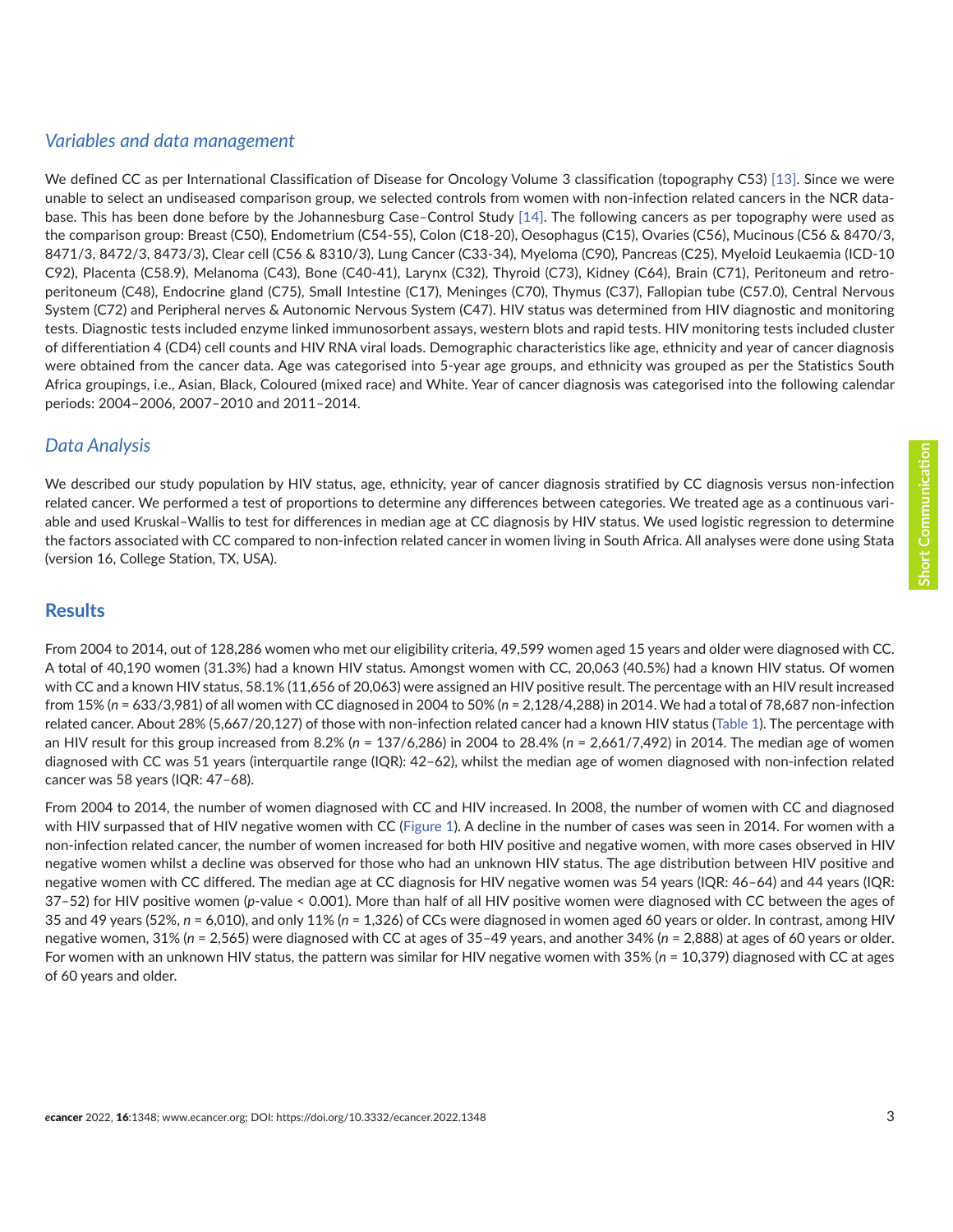#### *Variables and data management*

We defined CC as per International Classification of Disease for Oncology Volume 3 classification (topography C53) [\[13\].](#page-9-0) Since we were unable to select an undiseased comparison group, we selected controls from women with non-infection related cancers in the NCR database. This has been done before by the Johannesburg Case–Control Study [\[14\].](#page-9-0) The following cancers as per topography were used as the comparison group: Breast (C50), Endometrium (C54-55), Colon (C18-20), Oesophagus (C15), Ovaries (C56), Mucinous (C56 & 8470/3, 8471/3, 8472/3, 8473/3), Clear cell (C56 & 8310/3), Lung Cancer (C33-34), Myeloma (C90), Pancreas (C25), Myeloid Leukaemia (ICD-10 C92), Placenta (C58.9), Melanoma (C43), Bone (C40-41), Larynx (C32), Thyroid (C73), Kidney (C64), Brain (C71), Peritoneum and retroperitoneum (C48), Endocrine gland (C75), Small Intestine (C17), Meninges (C70), Thymus (C37), Fallopian tube (C57.0), Central Nervous System (C72) and Peripheral nerves & Autonomic Nervous System (C47). HIV status was determined from HIV diagnostic and monitoring tests. Diagnostic tests included enzyme linked immunosorbent assays, western blots and rapid tests. HIV monitoring tests included cluster of differentiation 4 (CD4) cell counts and HIV RNA viral loads. Demographic characteristics like age, ethnicity and year of cancer diagnosis were obtained from the cancer data. Age was categorised into 5-year age groups, and ethnicity was grouped as per the Statistics South Africa groupings, i.e., Asian, Black, Coloured (mixed race) and White. Year of cancer diagnosis was categorised into the following calendar periods: 2004–2006, 2007–2010 and 2011–2014.

#### *Data Analysis*

We described our study population by HIV status, age, ethnicity, year of cancer diagnosis stratified by CC diagnosis versus non-infection related cancer. We performed a test of proportions to determine any differences between categories. We treated age as a continuous variable and used Kruskal–Wallis to test for differences in median age at CC diagnosis by HIV status. We used logistic regression to determine the factors associated with CC compared to non-infection related cancer in women living in South Africa. All analyses were done using Stata (version 16, College Station, TX, USA).

#### **Results**

From 2004 to 2014, out of 128,286 women who met our eligibility criteria, 49,599 women aged 15 years and older were diagnosed with CC. A total of 40,190 women (31.3%) had a known HIV status. Amongst women with CC, 20,063 (40.5%) had a known HIV status. Of women with CC and a known HIV status, 58.1% (11,656 of 20,063) were assigned an HIV positive result. The percentage with an HIV result increased from 15% (*n* = 633/3,981) of all women with CC diagnosed in 2004 to 50% (*n* = 2,128/4,288) in 2014. We had a total of 78,687 non-infection related cancer. About 28% (5,667/20,127) of those with non-infection related cancer had a known HIV status [\(Table 1](#page-3-0)). The percentage with an HIV result for this group increased from 8.2% (*n* = 137/6,286) in 2004 to 28.4% (*n* = 2,661/7,492) in 2014. The median age of women diagnosed with CC was 51 years (interquartile range (IQR): 42–62), whilst the median age of women diagnosed with non-infection related cancer was 58 years (IQR: 47–68).

From 2004 to 2014, the number of women diagnosed with CC and HIV increased. In 2008, the number of women with CC and diagnosed with HIV surpassed that of HIV negative women with CC [\(Figure 1\)](#page-4-0). A decline in the number of cases was seen in 2014. For women with a non-infection related cancer, the number of women increased for both HIV positive and negative women, with more cases observed in HIV negative women whilst a decline was observed for those who had an unknown HIV status. The age distribution between HIV positive and negative women with CC differed. The median age at CC diagnosis for HIV negative women was 54 years (IQR: 46–64) and 44 years (IQR: 37–52) for HIV positive women (*p*-value < 0.001). More than half of all HIV positive women were diagnosed with CC between the ages of 35 and 49 years (52%, *n* = 6,010), and only 11% (*n* = 1,326) of CCs were diagnosed in women aged 60 years or older. In contrast, among HIV negative women, 31% (*n* = 2,565) were diagnosed with CC at ages of 35–49 years, and another 34% (*n* = 2,888) at ages of 60 years or older. For women with an unknown HIV status, the pattern was similar for HIV negative women with 35% (*n* = 10,379) diagnosed with CC at ages of 60 years and older.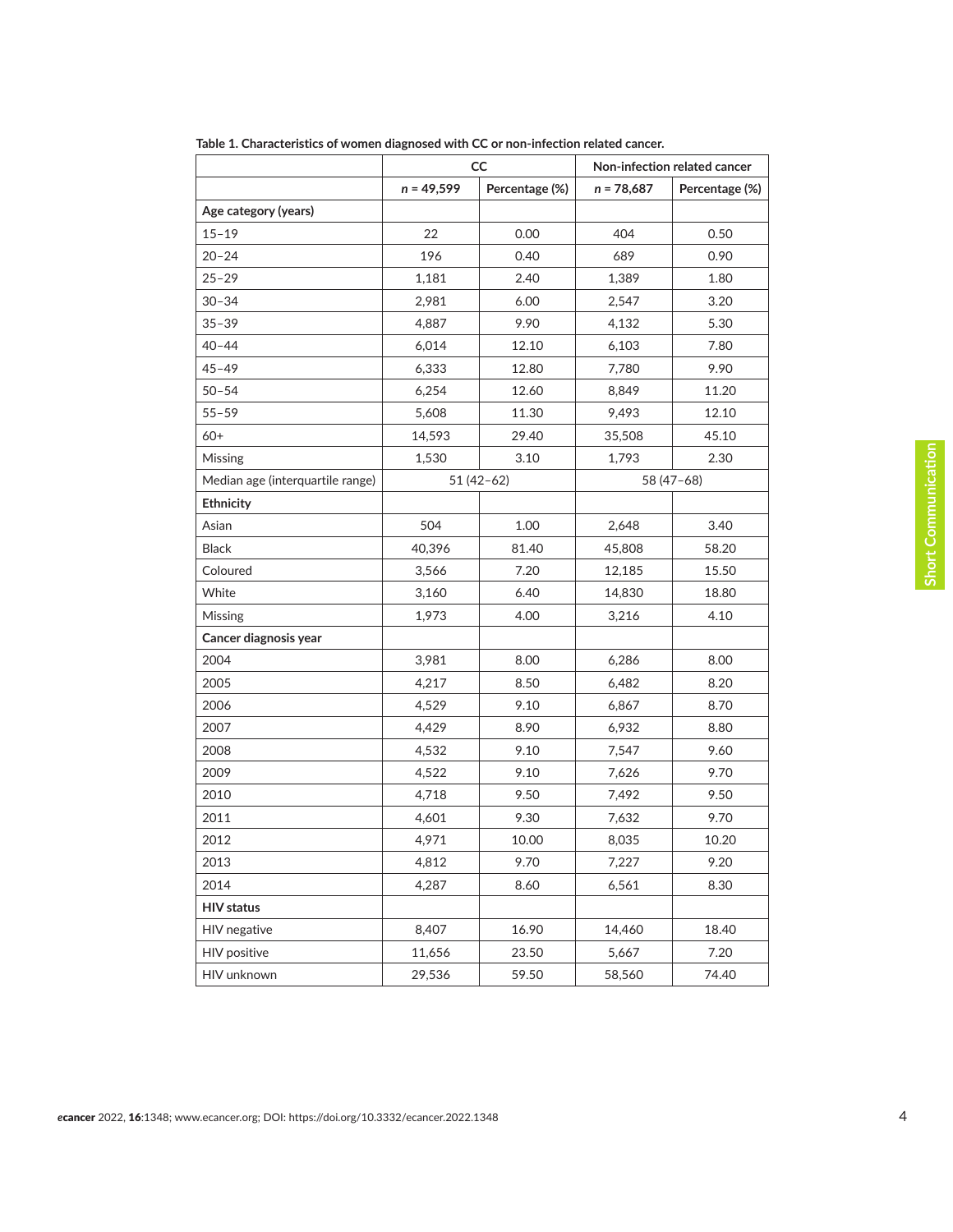|                                  | CC           |                | Non-infection related cancer |                |
|----------------------------------|--------------|----------------|------------------------------|----------------|
|                                  | $n = 49,599$ | Percentage (%) | $n = 78,687$                 | Percentage (%) |
| Age category (years)             |              |                |                              |                |
| $15 - 19$                        | 22           | 0.00           | 404                          | 0.50           |
| $20 - 24$                        | 196          | 0.40           | 689                          | 0.90           |
| $25 - 29$                        | 1,181        | 2.40           | 1,389                        | 1.80           |
| $30 - 34$                        | 2,981        | 6.00           | 2,547                        | 3.20           |
| $35 - 39$                        | 4,887        | 9.90           | 4,132                        | 5.30           |
| $40 - 44$                        | 6,014        | 12.10          | 6,103                        | 7.80           |
| $45 - 49$                        | 6,333        | 12.80          | 7,780                        | 9.90           |
| $50 - 54$                        | 6,254        | 12.60          | 8,849                        | 11.20          |
| $55 - 59$                        | 5,608        | 11.30          | 9,493                        | 12.10          |
| $60+$                            | 14,593       | 29.40          | 35,508                       | 45.10          |
| Missing                          | 1,530        | 3.10           | 1,793                        | 2.30           |
| Median age (interquartile range) | $51(42-62)$  |                | 58 (47-68)                   |                |
| Ethnicity                        |              |                |                              |                |
| Asian                            | 504          | 1.00           | 2,648                        | 3.40           |
| <b>Black</b>                     | 40,396       | 81.40          | 45,808                       | 58.20          |
| Coloured                         | 3,566        | 7.20           | 12,185                       | 15.50          |
| White                            | 3,160        | 6.40           | 14,830                       | 18.80          |
| Missing                          | 1,973        | 4.00           | 3,216                        | 4.10           |
| Cancer diagnosis year            |              |                |                              |                |
| 2004                             | 3,981        | 8.00           | 6,286                        | 8.00           |
| 2005                             | 4,217        | 8.50           | 6,482                        | 8.20           |
| 2006                             | 4,529        | 9.10           | 6,867                        | 8.70           |
| 2007                             | 4,429        | 8.90           | 6,932                        | 8.80           |
| 2008                             | 4,532        | 9.10           | 7,547                        | 9.60           |
| 2009                             | 4,522        | 9.10           | 7,626                        | 9.70           |
| 2010                             | 4,718        | 9.50           | 7,492                        | 9.50           |
| 2011                             | 4,601        | 9.30           | 7,632                        | 9.70           |
| 2012                             | 4,971        | 10.00          | 8,035                        | 10.20          |
| 2013                             | 4,812        | 9.70           | 7,227                        | 9.20           |
| 2014                             | 4,287        | 8.60           | 6,561                        | 8.30           |
| <b>HIV status</b>                |              |                |                              |                |
| HIV negative                     | 8,407        | 16.90          | 14,460                       | 18.40          |
| HIV positive                     | 11,656       | 23.50          | 5,667                        | 7.20           |
| HIV unknown                      | 29,536       | 59.50          | 58,560                       | 74.40          |

<span id="page-3-0"></span>**Table 1. Characteristics of women diagnosed with CC or non-infection related cancer.**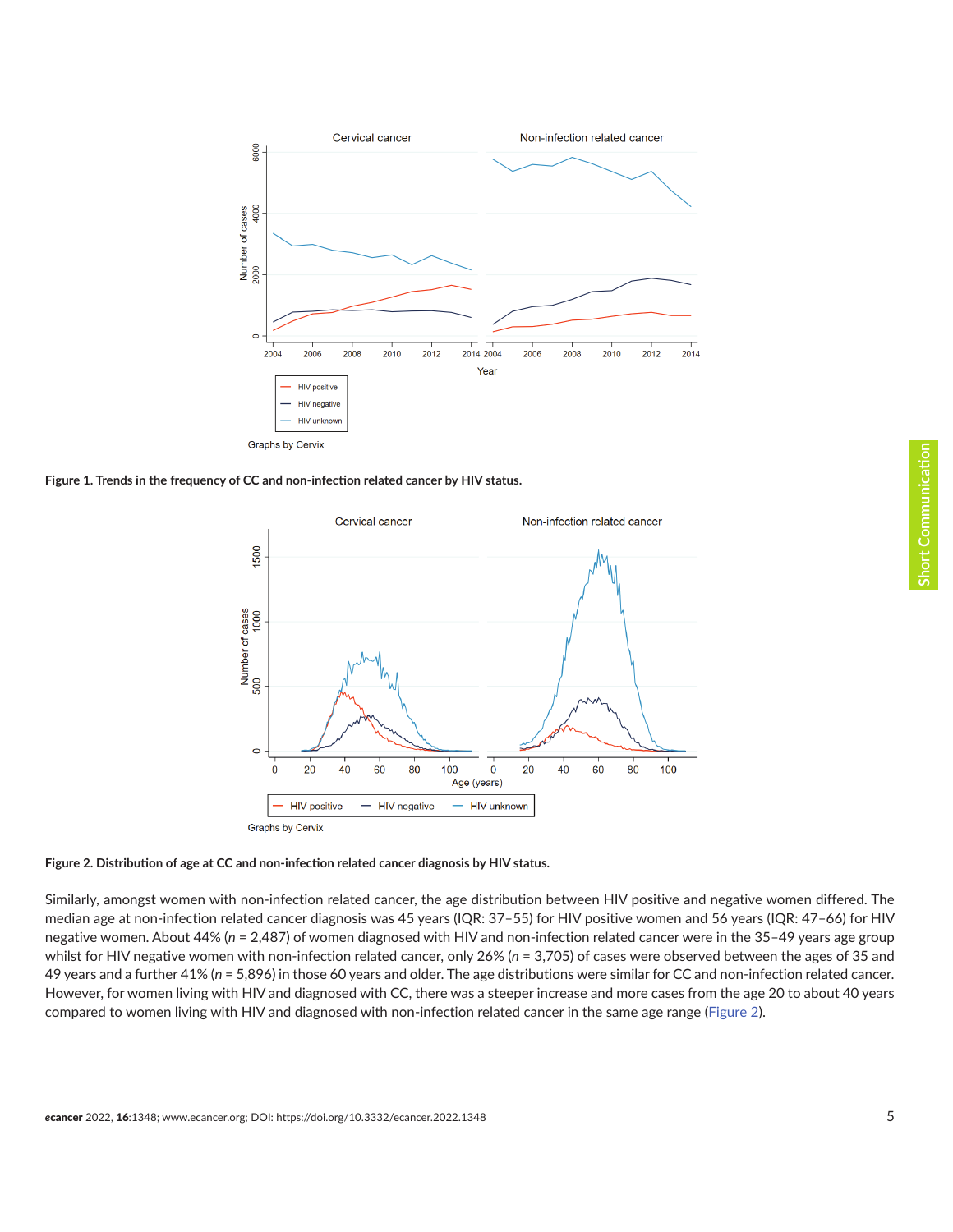<span id="page-4-0"></span>

**Figure 1. Trends in the frequency of CC and non-infection related cancer by HIV status.**





Similarly, amongst women with non-infection related cancer, the age distribution between HIV positive and negative women differed. The median age at non-infection related cancer diagnosis was 45 years (IQR: 37–55) for HIV positive women and 56 years (IQR: 47–66) for HIV negative women. About 44% (*n* = 2,487) of women diagnosed with HIV and non-infection related cancer were in the 35–49 years age group whilst for HIV negative women with non-infection related cancer, only 26% (n = 3,705) of cases were observed between the ages of 35 and 49 years and a further 41% (*n* = 5,896) in those 60 years and older. The age distributions were similar for CC and non-infection related cancer. However, for women living with HIV and diagnosed with CC, there was a steeper increase and more cases from the age 20 to about 40 years compared to women living with HIV and diagnosed with non-infection related cancer in the same age range (Figure 2).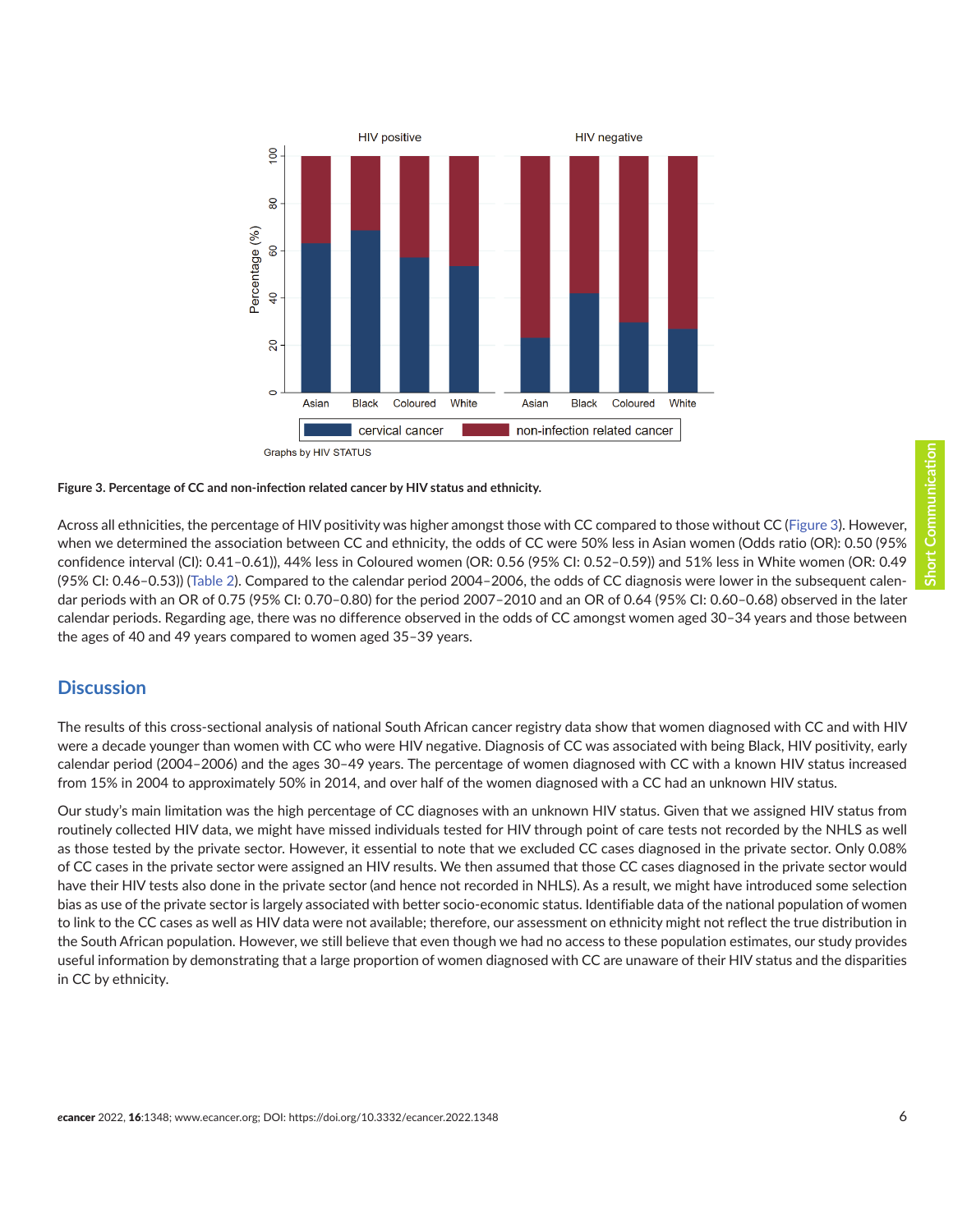**HIV positive HIV** negative  $\overline{00}$  $80$ Percentage (%) 8  $\overline{a}$  $\mathsf{S}$  $\circ$ **Black** White Asian Coloured Asian **Black** White Coloured cervical cancer non-infection related cancer Graphs by HIV STATUS

#### **Figure 3. Percentage of CC and non-infection related cancer by HIV status and ethnicity.**

Across all ethnicities, the percentage of HIV positivity was higher amongst those with CC compared to those without CC (Figure 3). However, when we determined the association between CC and ethnicity, the odds of CC were 50% less in Asian women (Odds ratio (OR): 0.50 (95% confidence interval (CI): 0.41–0.61)), 44% less in Coloured women (OR: 0.56 (95% CI: 0.52–0.59)) and 51% less in White women (OR: 0.49 (95% CI: 0.46–0.53)) ([Table 2\)](#page-6-0). Compared to the calendar period 2004–2006, the odds of CC diagnosis were lower in the subsequent calendar periods with an OR of 0.75 (95% CI: 0.70–0.80) for the period 2007–2010 and an OR of 0.64 (95% CI: 0.60–0.68) observed in the later calendar periods. Regarding age, there was no difference observed in the odds of CC amongst women aged 30–34 years and those between the ages of 40 and 49 years compared to women aged 35–39 years.

#### **Discussion**

The results of this cross-sectional analysis of national South African cancer registry data show that women diagnosed with CC and with HIV were a decade younger than women with CC who were HIV negative. Diagnosis of CC was associated with being Black, HIV positivity, early calendar period (2004–2006) and the ages 30–49 years. The percentage of women diagnosed with CC with a known HIV status increased from 15% in 2004 to approximately 50% in 2014, and over half of the women diagnosed with a CC had an unknown HIV status.

Our study's main limitation was the high percentage of CC diagnoses with an unknown HIV status. Given that we assigned HIV status from routinely collected HIV data, we might have missed individuals tested for HIV through point of care tests not recorded by the NHLS as well as those tested by the private sector. However, it essential to note that we excluded CC cases diagnosed in the private sector. Only 0.08% of CC cases in the private sector were assigned an HIV results. We then assumed that those CC cases diagnosed in the private sector would have their HIV tests also done in the private sector (and hence not recorded in NHLS). As a result, we might have introduced some selection bias as use of the private sector is largely associated with better socio-economic status. Identifiable data of the national population of women to link to the CC cases as well as HIV data were not available; therefore, our assessment on ethnicity might not reflect the true distribution in the South African population. However, we still believe that even though we had no access to these population estimates, our study provides useful information by demonstrating that a large proportion of women diagnosed with CC are unaware of their HIV status and the disparities in CC by ethnicity.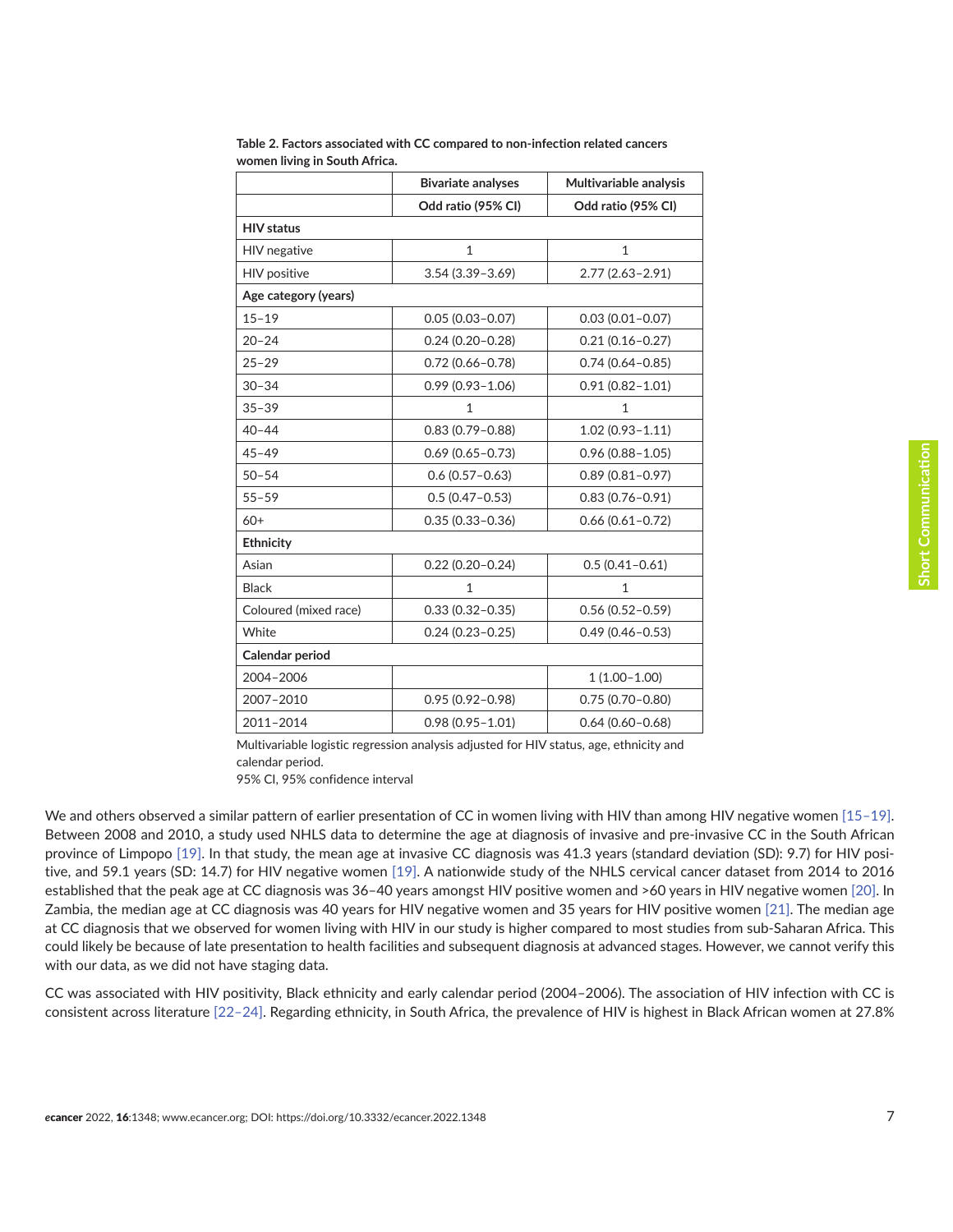|                       | <b>Bivariate analyses</b>                  | Multivariable analysis |  |
|-----------------------|--------------------------------------------|------------------------|--|
|                       | Odd ratio (95% CI)                         | Odd ratio (95% CI)     |  |
| <b>HIV</b> status     |                                            |                        |  |
| HIV negative          | $\mathbf{1}$                               | $\mathbf{1}$           |  |
| <b>HIV</b> positive   | $3.54(3.39 - 3.69)$                        | $2.77(2.63 - 2.91)$    |  |
| Age category (years)  |                                            |                        |  |
| $15 - 19$             | $0.05(0.03 - 0.07)$                        | $0.03(0.01 - 0.07)$    |  |
| $20 - 24$             | $0.24(0.20 - 0.28)$                        | $0.21(0.16 - 0.27)$    |  |
| $25 - 29$             | $0.72(0.66 - 0.78)$                        | $0.74(0.64 - 0.85)$    |  |
| $30 - 34$             | $0.99(0.93 - 1.06)$                        | $0.91(0.82 - 1.01)$    |  |
| $35 - 39$             | 1                                          | 1                      |  |
| $40 - 44$             | $0.83(0.79 - 0.88)$                        | $1.02(0.93 - 1.11)$    |  |
| $45 - 49$             | $0.69(0.65 - 0.73)$                        | $0.96(0.88 - 1.05)$    |  |
| $50 - 54$             | $0.6(0.57 - 0.63)$                         | $0.89(0.81 - 0.97)$    |  |
| $55 - 59$             | $0.5(0.47 - 0.53)$                         | $0.83(0.76 - 0.91)$    |  |
| $60+$                 | $0.35(0.33 - 0.36)$                        | $0.66(0.61 - 0.72)$    |  |
| Ethnicity             |                                            |                        |  |
| Asian                 | $0.22(0.20 - 0.24)$                        | $0.5(0.41 - 0.61)$     |  |
| <b>Black</b>          | $\mathbf{1}$                               | $\mathbf{1}$           |  |
| Coloured (mixed race) | $0.33(0.32 - 0.35)$                        | $0.56(0.52 - 0.59)$    |  |
| White                 | $0.24(0.23 - 0.25)$                        | $0.49(0.46 - 0.53)$    |  |
| Calendar period       |                                            |                        |  |
| 2004-2006             |                                            | $1(1.00-1.00)$         |  |
| 2007-2010             | $0.95(0.92 - 0.98)$<br>$0.75(0.70 - 0.80)$ |                        |  |
| 2011-2014             | $0.98(0.95 - 1.01)$                        | $0.64(0.60 - 0.68)$    |  |

<span id="page-6-0"></span>**Table 2. Factors associated with CC compared to non-infection related cancers women living in South Africa.**

Multivariable logistic regression analysis adjusted for HIV status, age, ethnicity and calendar period.

95% CI, 95% confidence interval

We and others observed a similar pattern of earlier presentation of CC in women living with HIV than among HIV negative women [\[15–19\].](#page-9-0) Between 2008 and 2010, a study used NHLS data to determine the age at diagnosis of invasive and pre-invasive CC in the South African province of Limpopo [\[19\]](#page-9-0). In that study, the mean age at invasive CC diagnosis was 41.3 years (standard deviation (SD): 9.7) for HIV positive, and 59.1 years (SD: 14.7) for HIV negative women [\[19\].](#page-9-0) A nationwide study of the NHLS cervical cancer dataset from 2014 to 2016 established that the peak age at CC diagnosis was 36–40 years amongst HIV positive women and >60 years in HIV negative women [\[20\]](#page-9-0). In Zambia, the median age at CC diagnosis was 40 years for HIV negative women and 35 years for HIV positive women [\[21\].](#page-9-0) The median age at CC diagnosis that we observed for women living with HIV in our study is higher compared to most studies from sub-Saharan Africa. This could likely be because of late presentation to health facilities and subsequent diagnosis at advanced stages. However, we cannot verify this with our data, as we did not have staging data.

CC was associated with HIV positivity, Black ethnicity and early calendar period (2004–2006). The association of HIV infection with CC is consistent across literature [\[22–](#page-9-0)[24\]](#page-10-0). Regarding ethnicity, in South Africa, the prevalence of HIV is highest in Black African women at 27.8%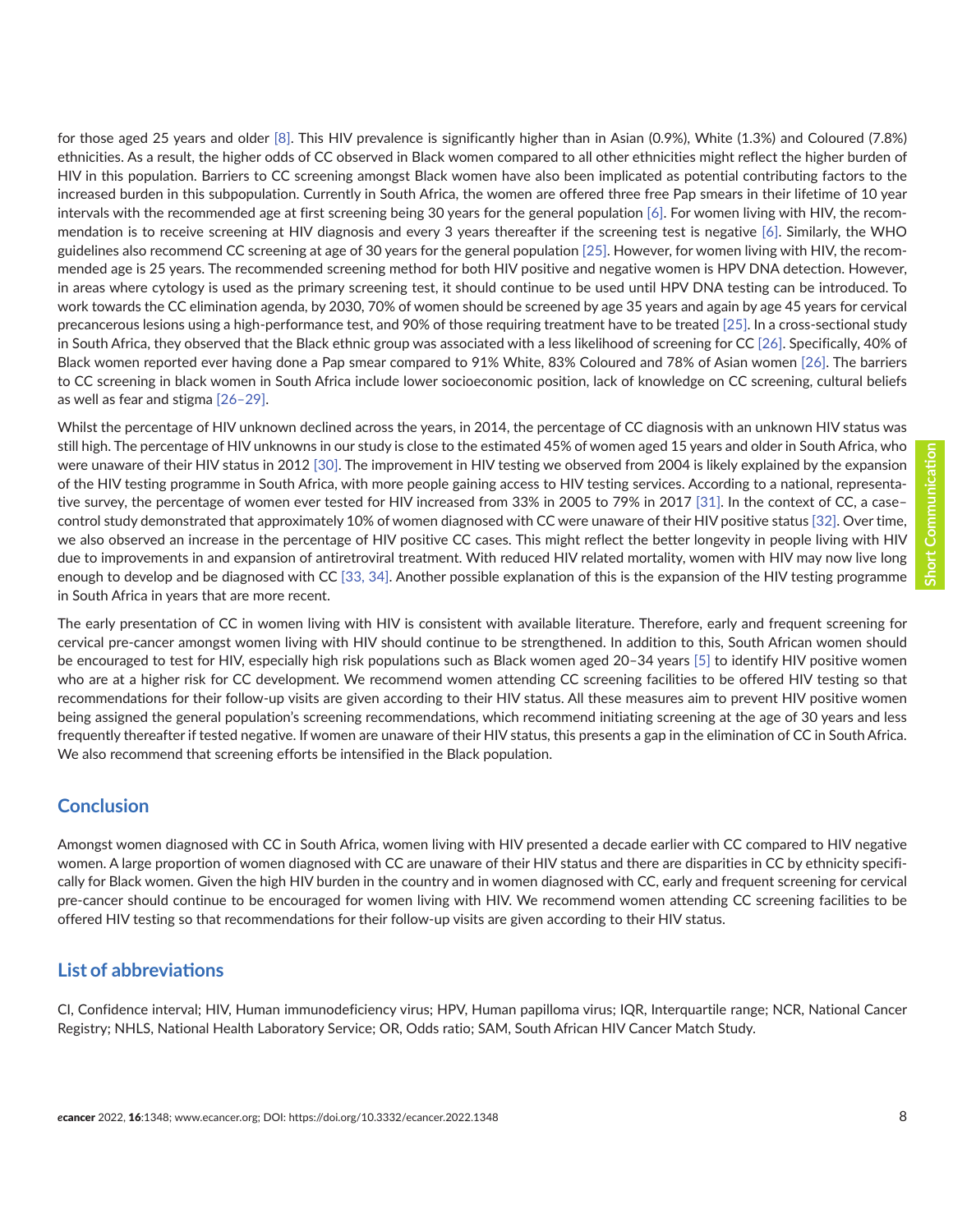for those aged 25 years and older [\[8\].](#page-9-0) This HIV prevalence is significantly higher than in Asian (0.9%), White (1.3%) and Coloured (7.8%) ethnicities. As a result, the higher odds of CC observed in Black women compared to all other ethnicities might reflect the higher burden of HIV in this population. Barriers to CC screening amongst Black women have also been implicated as potential contributing factors to the increased burden in this subpopulation. Currently in South Africa, the women are offered three free Pap smears in their lifetime of 10 year intervals with the recommended age at first screening being 30 years for the general population [\[6\]](#page-8-0). For women living with HIV, the recommendation is to receive screening at HIV diagnosis and every 3 years thereafter if the screening test is negative [\[6\]](#page-8-0). Similarly, the WHO guidelines also recommend CC screening at age of 30 years for the general population [\[25\]](#page-10-0). However, for women living with HIV, the recommended age is 25 years. The recommended screening method for both HIV positive and negative women is HPV DNA detection. However, in areas where cytology is used as the primary screening test, it should continue to be used until HPV DNA testing can be introduced. To work towards the CC elimination agenda, by 2030, 70% of women should be screened by age 35 years and again by age 45 years for cervical precancerous lesions using a high-performance test, and 90% of those requiring treatment have to be treated [\[25\]](#page-10-0). In a cross-sectional study in South Africa, they observed that the Black ethnic group was associated with a less likelihood of screening for CC [\[26\].](#page-10-0) Specifically, 40% of Black women reported ever having done a Pap smear compared to 91% White, 83% Coloured and 78% of Asian women [\[26\].](#page-10-0) The barriers to CC screening in black women in South Africa include lower socioeconomic position, lack of knowledge on CC screening, cultural beliefs as well as fear and stigma [\[26–29\].](#page-10-0)

Whilst the percentage of HIV unknown declined across the years, in 2014, the percentage of CC diagnosis with an unknown HIV status was still high. The percentage of HIV unknowns in our study is close to the estimated 45% of women aged 15 years and older in South Africa, who were unaware of their HIV status in 2012 [\[30\]](#page-10-0). The improvement in HIV testing we observed from 2004 is likely explained by the expansion of the HIV testing programme in South Africa, with more people gaining access to HIV testing services. According to a national, representative survey, the percentage of women ever tested for HIV increased from 33% in 2005 to 79% in 2017 [\[31\]](#page-10-0). In the context of CC, a case– control study demonstrated that approximately 10% of women diagnosed with CC were unaware of their HIV positive status [\[32\].](#page-10-0) Over time, we also observed an increase in the percentage of HIV positive CC cases. This might reflect the better longevity in people living with HIV due to improvements in and expansion of antiretroviral treatment. With reduced HIV related mortality, women with HIV may now live long enough to develop and be diagnosed with CC [\[33,](#page-10-0) [34\]](#page-10-0). Another possible explanation of this is the expansion of the HIV testing programme in South Africa in years that are more recent.

The early presentation of CC in women living with HIV is consistent with available literature. Therefore, early and frequent screening for cervical pre-cancer amongst women living with HIV should continue to be strengthened. In addition to this, South African women should be encouraged to test for HIV, especially high risk populations such as Black women aged 20–34 years [\[5\]](#page-8-0) to identify HIV positive women who are at a higher risk for CC development. We recommend women attending CC screening facilities to be offered HIV testing so that recommendations for their follow-up visits are given according to their HIV status. All these measures aim to prevent HIV positive women being assigned the general population's screening recommendations, which recommend initiating screening at the age of 30 years and less frequently thereafter if tested negative. If women are unaware of their HIV status, this presents a gap in the elimination of CC in South Africa. We also recommend that screening efforts be intensified in the Black population.

#### **Conclusion**

Amongst women diagnosed with CC in South Africa, women living with HIV presented a decade earlier with CC compared to HIV negative women. A large proportion of women diagnosed with CC are unaware of their HIV status and there are disparities in CC by ethnicity specifically for Black women. Given the high HIV burden in the country and in women diagnosed with CC, early and frequent screening for cervical pre-cancer should continue to be encouraged for women living with HIV. We recommend women attending CC screening facilities to be offered HIV testing so that recommendations for their follow-up visits are given according to their HIV status.

## **List of abbreviations**

CI, Confidence interval; HIV, Human immunodeficiency virus; HPV, Human papilloma virus; IQR, Interquartile range; NCR, National Cancer Registry; NHLS, National Health Laboratory Service; OR, Odds ratio; SAM, South African HIV Cancer Match Study.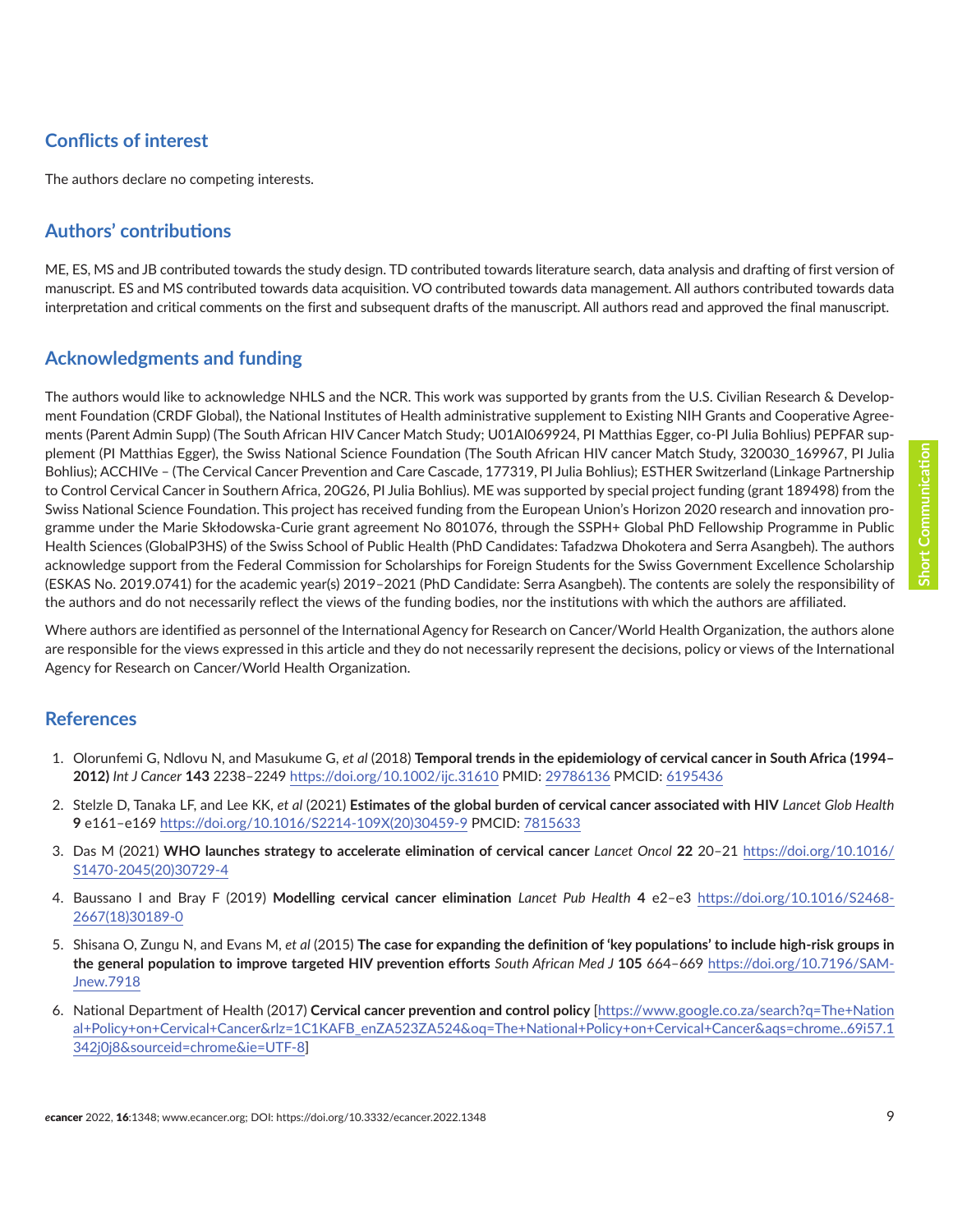# <span id="page-8-0"></span>**Conflicts of interest**

The authors declare no competing interests.

# **Authors' contributions**

ME, ES, MS and JB contributed towards the study design. TD contributed towards literature search, data analysis and drafting of first version of manuscript. ES and MS contributed towards data acquisition. VO contributed towards data management. All authors contributed towards data interpretation and critical comments on the first and subsequent drafts of the manuscript. All authors read and approved the final manuscript.

## **Acknowledgments and funding**

The authors would like to acknowledge NHLS and the NCR. This work was supported by grants from the U.S. Civilian Research & Development Foundation (CRDF Global), the National Institutes of Health administrative supplement to Existing NIH Grants and Cooperative Agreements (Parent Admin Supp) (The South African HIV Cancer Match Study; U01AI069924, PI Matthias Egger, co-PI Julia Bohlius) PEPFAR supplement (PI Matthias Egger), the Swiss National Science Foundation (The South African HIV cancer Match Study, 320030\_169967, PI Julia Bohlius); ACCHIVe – (The Cervical Cancer Prevention and Care Cascade, 177319, PI Julia Bohlius); ESTHER Switzerland (Linkage Partnership to Control Cervical Cancer in Southern Africa, 20G26, PI Julia Bohlius). ME was supported by special project funding (grant 189498) from the Swiss National Science Foundation. This project has received funding from the European Union's Horizon 2020 research and innovation programme under the Marie Skłodowska-Curie grant agreement No 801076, through the SSPH+ Global PhD Fellowship Programme in Public Health Sciences (GlobalP3HS) of the Swiss School of Public Health (PhD Candidates: Tafadzwa Dhokotera and Serra Asangbeh). The authors acknowledge support from the Federal Commission for Scholarships for Foreign Students for the Swiss Government Excellence Scholarship (ESKAS No. 2019.0741) for the academic year(s) 2019–2021 (PhD Candidate: Serra Asangbeh). The contents are solely the responsibility of the authors and do not necessarily reflect the views of the funding bodies, nor the institutions with which the authors are affiliated.

Where authors are identified as personnel of the International Agency for Research on Cancer/World Health Organization, the authors alone are responsible for the views expressed in this article and they do not necessarily represent the decisions, policy or views of the International Agency for Research on Cancer/World Health Organization.

#### **References**

- 1. Olorunfemi G, Ndlovu N, and Masukume G, *et al* (2018) **Temporal trends in the epidemiology of cervical cancer in South Africa (1994– 2012)** *Int J Cancer* **143** 2238–2249<https://doi.org/10.1002/ijc.31610> PMID: [29786136](http://www.ncbi.nlm.nih.gov/pubmed/29786136) PMCID: [6195436](http://www.ncbi.nlm.nih.gov/pmc/articles/PMC6195436)
- 2. Stelzle D, Tanaka LF, and Lee KK, *et al* (2021) **Estimates of the global burden of cervical cancer associated with HIV** *Lancet Glob Health* **9** e161–e169 [https://doi.org/10.1016/S2214-109X\(20\)30459-9](https://doi.org/10.1016/S2214-109X(20)30459-9) PMCID: [7815633](http://www.ncbi.nlm.nih.gov/pmc/articles/PMC7815633)
- 3. Das M (2021) **WHO launches strategy to accelerate elimination of cervical cancer** *Lancet Oncol* **22** 20–21 [https://doi.org/10.1016/](https://doi.org/10.1016/S1470-2045(20)30729-4) [S1470-2045\(20\)30729-4](https://doi.org/10.1016/S1470-2045(20)30729-4)
- 4. Baussano I and Bray F (2019) **Modelling cervical cancer elimination** *Lancet Pub Health* **4** e2–e3 [https://doi.org/10.1016/S2468-](https://doi.org/10.1016/S2468-2667(18)30189-0) [2667\(18\)30189-0](https://doi.org/10.1016/S2468-2667(18)30189-0)
- 5. Shisana O, Zungu N, and Evans M, *et al* (2015) **The case for expanding the definition of 'key populations' to include high-risk groups in the general population to improve targeted HIV prevention efforts** *South African Med J* **105** 664–669 [https://doi.org/10.7196/SAM-](https://doi.org/10.7196/SAMJnew.7918)[Jnew.7918](https://doi.org/10.7196/SAMJnew.7918)
- 6. National Department of Health (2017) **Cervical cancer prevention and control policy** [\[https://www.google.co.za/search?q=The+Nation](https://www.google.co.za/search?q=The+National+Policy+on+Cervical+Cancer&rlz=1C1KAFB_enZA523ZA524&oq=The+National+Policy+on+Cervical+Cancer&aqs=chrome..69i57.1342j0j8&sourceid=chrome&ie=UTF-8) [al+Policy+on+Cervical+Cancer&rlz=1C1KAFB\\_enZA523ZA524&oq=The+National+Policy+on+Cervical+Cancer&aqs=chrome..69i57.1](https://www.google.co.za/search?q=The+National+Policy+on+Cervical+Cancer&rlz=1C1KAFB_enZA523ZA524&oq=The+National+Policy+on+Cervical+Cancer&aqs=chrome..69i57.1342j0j8&sourceid=chrome&ie=UTF-8) [342j0j8&sourceid=chrome&ie=UTF-8\]](https://www.google.co.za/search?q=The+National+Policy+on+Cervical+Cancer&rlz=1C1KAFB_enZA523ZA524&oq=The+National+Policy+on+Cervical+Cancer&aqs=chrome..69i57.1342j0j8&sourceid=chrome&ie=UTF-8)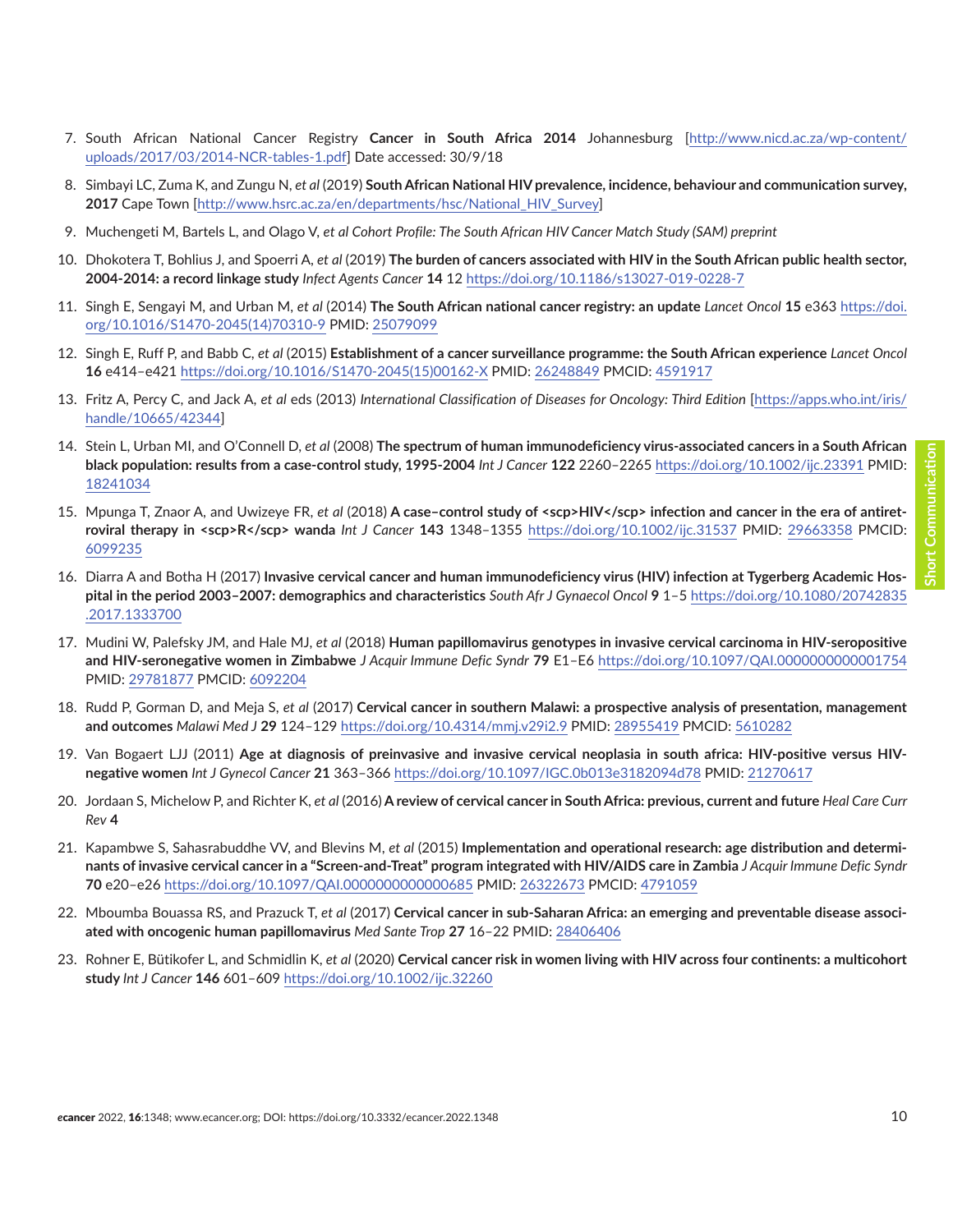- <span id="page-9-0"></span>7. South African National Cancer Registry **Cancer in South Africa 2014** Johannesburg [\[http://www.nicd.ac.za/wp-content/](http://www.nicd.ac.za/wp-content/uploads/2017/03/2014-NCR-tables-1.pdf) [uploads/2017/03/2014-NCR-tables-1.pdf\]](http://www.nicd.ac.za/wp-content/uploads/2017/03/2014-NCR-tables-1.pdf) Date accessed: 30/9/18
- 8. Simbayi LC, Zuma K, and Zungu N, *et al* (2019) **South African National HIV prevalence, incidence, behaviour and communication survey, 2017** Cape Town [[http://www.hsrc.ac.za/en/departments/hsc/National\\_HIV\\_Survey\]](http://www.hsrc.ac.za/en/departments/hsc/National_HIV_Survey)
- 9. Muchengeti M, Bartels L, and Olago V, *et al Cohort Profile: The South African HIV Cancer Match Study (SAM) preprint*
- 10. Dhokotera T, Bohlius J, and Spoerri A, *et al* (2019) **The burden of cancers associated with HIV in the South African public health sector, 2004-2014: a record linkage study** *Infect Agents Cancer* **14** 12 <https://doi.org/10.1186/s13027-019-0228-7>
- 11. Singh E, Sengayi M, and Urban M, *et al* (2014) **The South African national cancer registry: an update** *Lancet Oncol* **15** e363 [https://doi.](https://doi.org/10.1016/S1470-2045(14)70310-9) [org/10.1016/S1470-2045\(14\)70310-9](https://doi.org/10.1016/S1470-2045(14)70310-9) PMID: [25079099](http://www.ncbi.nlm.nih.gov/pubmed/25079099)
- 12. Singh E, Ruff P, and Babb C, *et al* (2015) **Establishment of a cancer surveillance programme: the South African experience** *Lancet Oncol* **16** e414–e421 [https://doi.org/10.1016/S1470-2045\(15\)00162-X](https://doi.org/10.1016/S1470-2045(15)00162-X) PMID: [26248849](http://www.ncbi.nlm.nih.gov/pubmed/26248849) PMCID: [4591917](http://www.ncbi.nlm.nih.gov/pmc/articles/PMC4591917)
- 13. Fritz A, Percy C, and Jack A, *et al* eds (2013) *International Classification of Diseases for Oncology: Third Edition* [[https://apps.who.int/iris/](https://apps.who.int/iris/handle/10665/42344) [handle/10665/42344\]](https://apps.who.int/iris/handle/10665/42344)
- 14. Stein L, Urban MI, and O'Connell D, *et al* (2008) **The spectrum of human immunodeficiency virus-associated cancers in a South African black population: results from a case-control study, 1995-2004** *Int J Cancer* **122** 2260–2265<https://doi.org/10.1002/ijc.23391> PMID: [18241034](http://www.ncbi.nlm.nih.gov/pubmed/18241034)
- 15. Mpunga T, Znaor A, and Uwizeye FR, *et al* (2018) **A case–control study of <scp>HIV</scp> infection and cancer in the era of antiretroviral therapy in <scp>R</scp> wanda** *Int J Cancer* **143** 1348–1355 <https://doi.org/10.1002/ijc.31537>PMID: [29663358](http://www.ncbi.nlm.nih.gov/pubmed/29663358) PMCID: [6099235](http://www.ncbi.nlm.nih.gov/pmc/articles/PMC6099235)
- 16. Diarra A and Botha H (2017) **Invasive cervical cancer and human immunodeficiency virus (HIV) infection at Tygerberg Academic Hospital in the period 2003–2007: demographics and characteristics** *South Afr J Gynaecol Oncol* **9** 1–5 [https://doi.org/10.1080/20742835](https://doi.org/10.1080/20742835.2017.1333700) [.2017.1333700](https://doi.org/10.1080/20742835.2017.1333700)
- 17. Mudini W, Palefsky JM, and Hale MJ, *et al* (2018) **Human papillomavirus genotypes in invasive cervical carcinoma in HIV-seropositive and HIV-seronegative women in Zimbabwe** *J Acquir Immune Defic Syndr* **79** E1–E6 <https://doi.org/10.1097/QAI.0000000000001754> PMID: [29781877](http://www.ncbi.nlm.nih.gov/pubmed/29781877) PMCID: [6092204](http://www.ncbi.nlm.nih.gov/pmc/articles/PMC6092204)
- 18. Rudd P, Gorman D, and Meja S, *et al* (2017) **Cervical cancer in southern Malawi: a prospective analysis of presentation, management and outcomes** *Malawi Med J* **29** 124–129<https://doi.org/10.4314/mmj.v29i2.9>PMID: [28955419](http://www.ncbi.nlm.nih.gov/pubmed/28955419) PMCID: [5610282](http://www.ncbi.nlm.nih.gov/pmc/articles/PMC5610282)
- 19. Van Bogaert LJJ (2011) **Age at diagnosis of preinvasive and invasive cervical neoplasia in south africa: HIV-positive versus HIVnegative women** *Int J Gynecol Cancer* **21** 363–366<https://doi.org/10.1097/IGC.0b013e3182094d78>PMID: [21270617](http://www.ncbi.nlm.nih.gov/pubmed/21270617)
- 20. Jordaan S, Michelow P, and Richter K, *et al* (2016) **A review of cervical cancer in South Africa: previous, current and future** *Heal Care Curr Rev* **4**
- 21. Kapambwe S, Sahasrabuddhe VV, and Blevins M, *et al* (2015) **Implementation and operational research: age distribution and determinants of invasive cervical cancer in a "Screen-and-Treat" program integrated with HIV/AIDS care in Zambia** *J Acquir Immune Defic Syndr* **70** e20–e26 <https://doi.org/10.1097/QAI.0000000000000685> PMID: [26322673](http://www.ncbi.nlm.nih.gov/pubmed/26322673) PMCID: [4791059](http://www.ncbi.nlm.nih.gov/pmc/articles/PMC4791059)
- 22. Mboumba Bouassa RS, and Prazuck T, *et al* (2017) **Cervical cancer in sub-Saharan Africa: an emerging and preventable disease associated with oncogenic human papillomavirus** *Med Sante Trop* **27** 16–22 PMID: [28406406](http://www.ncbi.nlm.nih.gov/pubmed/28406406)
- 23. Rohner E, Bütikofer L, and Schmidlin K, *et al* (2020) **Cervical cancer risk in women living with HIV across four continents: a multicohort study** *Int J Cancer* **146** 601–609<https://doi.org/10.1002/ijc.32260>